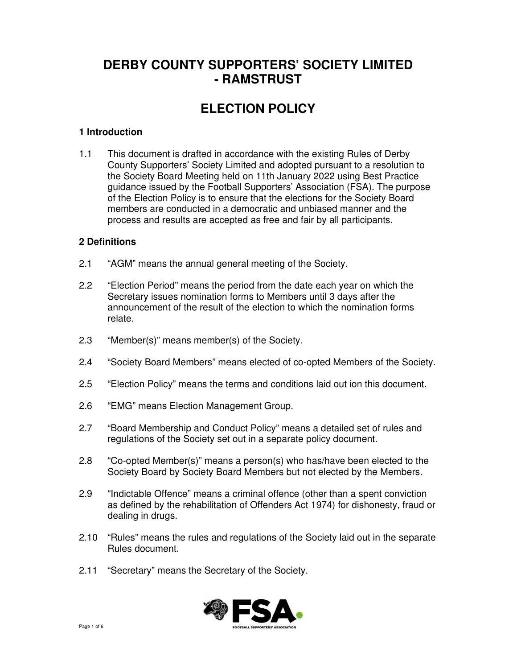## **DERBY COUNTY SUPPORTERS' SOCIETY LIMITED - RAMSTRUST**

# **ELECTION POLICY**

## **1 Introduction**

1.1 This document is drafted in accordance with the existing Rules of Derby County Supporters' Society Limited and adopted pursuant to a resolution to the Society Board Meeting held on 11th January 2022 using Best Practice guidance issued by the Football Supporters' Association (FSA). The purpose of the Election Policy is to ensure that the elections for the Society Board members are conducted in a democratic and unbiased manner and the process and results are accepted as free and fair by all participants.

#### **2 Definitions**

- 2.1 "AGM" means the annual general meeting of the Society.
- 2.2 "Election Period" means the period from the date each year on which the Secretary issues nomination forms to Members until 3 days after the announcement of the result of the election to which the nomination forms relate.
- 2.3 "Member(s)" means member(s) of the Society.
- 2.4 "Society Board Members" means elected of co-opted Members of the Society.
- 2.5 "Election Policy" means the terms and conditions laid out ion this document.
- 2.6 "EMG" means Election Management Group.
- 2.7 "Board Membership and Conduct Policy" means a detailed set of rules and regulations of the Society set out in a separate policy document.
- 2.8 "Co-opted Member(s)" means a person(s) who has/have been elected to the Society Board by Society Board Members but not elected by the Members.
- 2.9 "Indictable Offence" means a criminal offence (other than a spent conviction as defined by the rehabilitation of Offenders Act 1974) for dishonesty, fraud or dealing in drugs.
- 2.10 "Rules" means the rules and regulations of the Society laid out in the separate Rules document.
- 2.11 "Secretary" means the Secretary of the Society.

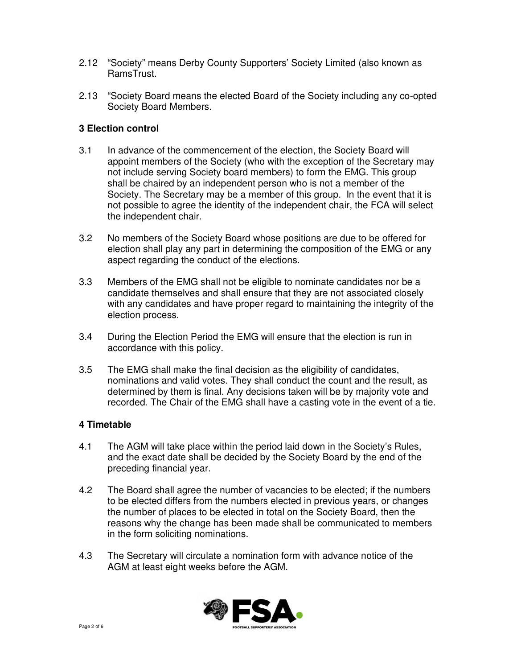- 2.12 "Society" means Derby County Supporters' Society Limited (also known as RamsTrust.
- 2.13 "Society Board means the elected Board of the Society including any co-opted Society Board Members.

## **3 Election control**

- 3.1 In advance of the commencement of the election, the Society Board will appoint members of the Society (who with the exception of the Secretary may not include serving Society board members) to form the EMG. This group shall be chaired by an independent person who is not a member of the Society. The Secretary may be a member of this group. In the event that it is not possible to agree the identity of the independent chair, the FCA will select the independent chair.
- 3.2 No members of the Society Board whose positions are due to be offered for election shall play any part in determining the composition of the EMG or any aspect regarding the conduct of the elections.
- 3.3 Members of the EMG shall not be eligible to nominate candidates nor be a candidate themselves and shall ensure that they are not associated closely with any candidates and have proper regard to maintaining the integrity of the election process.
- 3.4 During the Election Period the EMG will ensure that the election is run in accordance with this policy.
- 3.5 The EMG shall make the final decision as the eligibility of candidates, nominations and valid votes. They shall conduct the count and the result, as determined by them is final. Any decisions taken will be by majority vote and recorded. The Chair of the EMG shall have a casting vote in the event of a tie.

#### **4 Timetable**

- 4.1 The AGM will take place within the period laid down in the Society's Rules, and the exact date shall be decided by the Society Board by the end of the preceding financial year.
- 4.2 The Board shall agree the number of vacancies to be elected; if the numbers to be elected differs from the numbers elected in previous years, or changes the number of places to be elected in total on the Society Board, then the reasons why the change has been made shall be communicated to members in the form soliciting nominations.
- 4.3 The Secretary will circulate a nomination form with advance notice of the AGM at least eight weeks before the AGM.

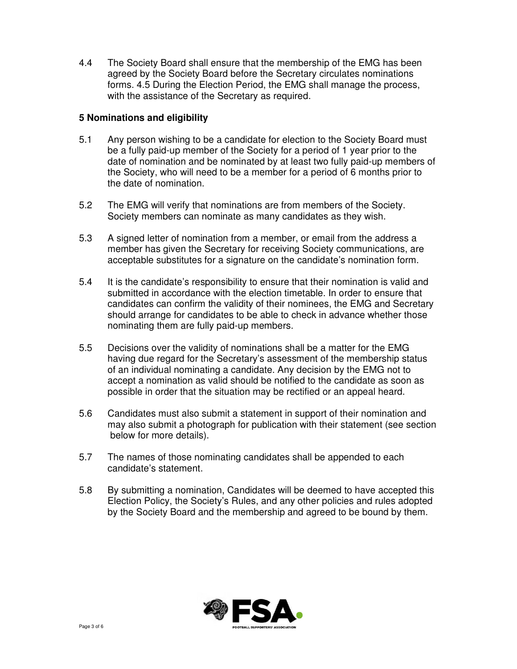4.4 The Society Board shall ensure that the membership of the EMG has been agreed by the Society Board before the Secretary circulates nominations forms. 4.5 During the Election Period, the EMG shall manage the process, with the assistance of the Secretary as required.

#### **5 Nominations and eligibility**

- 5.1 Any person wishing to be a candidate for election to the Society Board must be a fully paid-up member of the Society for a period of 1 year prior to the date of nomination and be nominated by at least two fully paid-up members of the Society, who will need to be a member for a period of 6 months prior to the date of nomination.
- 5.2 The EMG will verify that nominations are from members of the Society. Society members can nominate as many candidates as they wish.
- 5.3 A signed letter of nomination from a member, or email from the address a member has given the Secretary for receiving Society communications, are acceptable substitutes for a signature on the candidate's nomination form.
- 5.4 It is the candidate's responsibility to ensure that their nomination is valid and submitted in accordance with the election timetable. In order to ensure that candidates can confirm the validity of their nominees, the EMG and Secretary should arrange for candidates to be able to check in advance whether those nominating them are fully paid-up members.
- 5.5 Decisions over the validity of nominations shall be a matter for the EMG having due regard for the Secretary's assessment of the membership status of an individual nominating a candidate. Any decision by the EMG not to accept a nomination as valid should be notified to the candidate as soon as possible in order that the situation may be rectified or an appeal heard.
- 5.6 Candidates must also submit a statement in support of their nomination and may also submit a photograph for publication with their statement (see section below for more details).
- 5.7 The names of those nominating candidates shall be appended to each candidate's statement.
- 5.8 By submitting a nomination, Candidates will be deemed to have accepted this Election Policy, the Society's Rules, and any other policies and rules adopted by the Society Board and the membership and agreed to be bound by them.

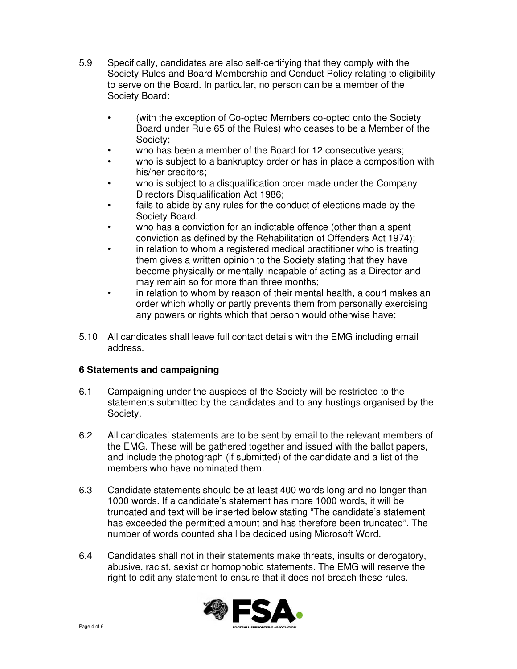- 5.9 Specifically, candidates are also self-certifying that they comply with the Society Rules and Board Membership and Conduct Policy relating to eligibility to serve on the Board. In particular, no person can be a member of the Society Board:
	- (with the exception of Co-opted Members co-opted onto the Society Board under Rule 65 of the Rules) who ceases to be a Member of the Society;
	- who has been a member of the Board for 12 consecutive years;
	- who is subject to a bankruptcy order or has in place a composition with his/her creditors;
	- who is subject to a disqualification order made under the Company Directors Disqualification Act 1986;
	- fails to abide by any rules for the conduct of elections made by the Society Board.
	- who has a conviction for an indictable offence (other than a spent conviction as defined by the Rehabilitation of Offenders Act 1974);
	- in relation to whom a registered medical practitioner who is treating them gives a written opinion to the Society stating that they have become physically or mentally incapable of acting as a Director and may remain so for more than three months;
	- in relation to whom by reason of their mental health, a court makes an order which wholly or partly prevents them from personally exercising any powers or rights which that person would otherwise have;
- 5.10 All candidates shall leave full contact details with the EMG including email address.

## **6 Statements and campaigning**

- 6.1 Campaigning under the auspices of the Society will be restricted to the statements submitted by the candidates and to any hustings organised by the Society.
- 6.2 All candidates' statements are to be sent by email to the relevant members of the EMG. These will be gathered together and issued with the ballot papers, and include the photograph (if submitted) of the candidate and a list of the members who have nominated them.
- 6.3 Candidate statements should be at least 400 words long and no longer than 1000 words. If a candidate's statement has more 1000 words, it will be truncated and text will be inserted below stating "The candidate's statement has exceeded the permitted amount and has therefore been truncated". The number of words counted shall be decided using Microsoft Word.
- 6.4 Candidates shall not in their statements make threats, insults or derogatory, abusive, racist, sexist or homophobic statements. The EMG will reserve the right to edit any statement to ensure that it does not breach these rules.

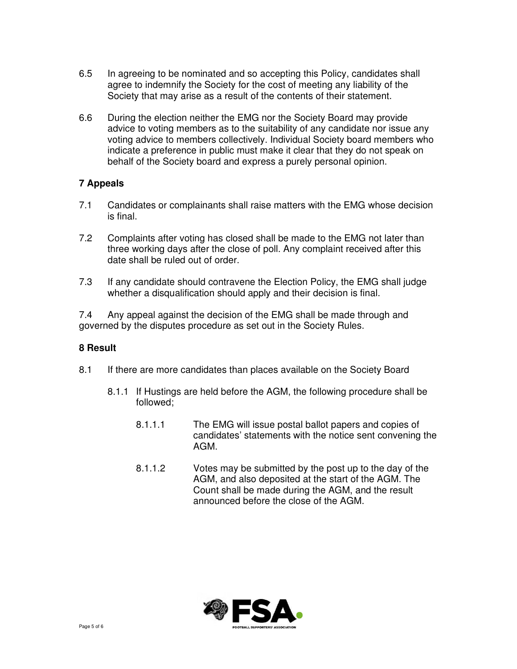- 6.5 In agreeing to be nominated and so accepting this Policy, candidates shall agree to indemnify the Society for the cost of meeting any liability of the Society that may arise as a result of the contents of their statement.
- 6.6 During the election neither the EMG nor the Society Board may provide advice to voting members as to the suitability of any candidate nor issue any voting advice to members collectively. Individual Society board members who indicate a preference in public must make it clear that they do not speak on behalf of the Society board and express a purely personal opinion.

## **7 Appeals**

- 7.1 Candidates or complainants shall raise matters with the EMG whose decision is final.
- 7.2 Complaints after voting has closed shall be made to the EMG not later than three working days after the close of poll. Any complaint received after this date shall be ruled out of order.
- 7.3 If any candidate should contravene the Election Policy, the EMG shall judge whether a disqualification should apply and their decision is final.

7.4 Any appeal against the decision of the EMG shall be made through and governed by the disputes procedure as set out in the Society Rules.

#### **8 Result**

- 8.1 If there are more candidates than places available on the Society Board
	- 8.1.1 If Hustings are held before the AGM, the following procedure shall be followed;
		- 8.1.1.1 The EMG will issue postal ballot papers and copies of candidates' statements with the notice sent convening the AGM.
		- 8.1.1.2 Votes may be submitted by the post up to the day of the AGM, and also deposited at the start of the AGM. The Count shall be made during the AGM, and the result announced before the close of the AGM.